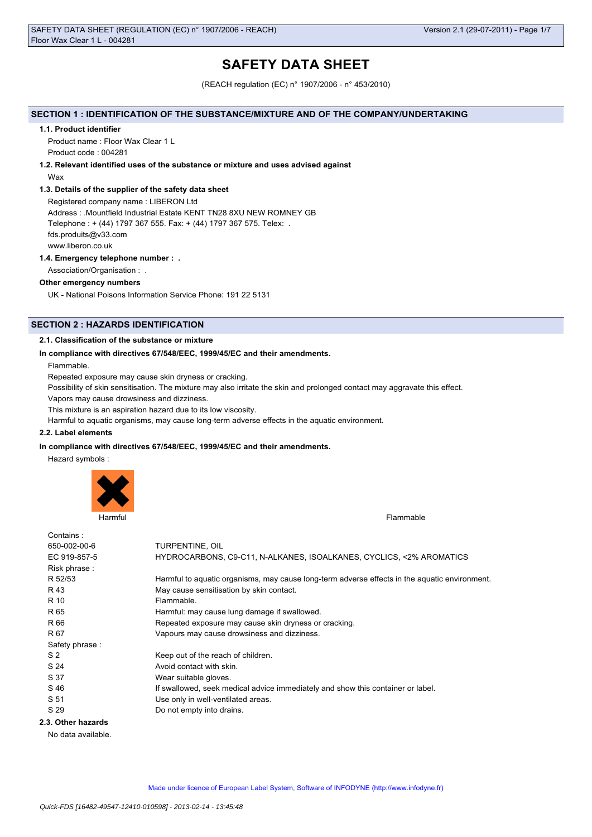# **SAFETY DATA SHEET**

(REACH regulation (EC) n° 1907/2006 - n° 453/2010)

# **SECTION 1 : IDENTIFICATION OF THE SUBSTANCE/MIXTURE AND OF THE COMPANY/UNDERTAKING**

#### **1.1. Product identifier**

Product name : Floor Wax Clear 1 L Product code : 004281

# **1.2. Relevant identified uses of the substance or mixture and uses advised against**

Wax

## **1.3. Details of the supplier of the safety data sheet**

Registered company name : LIBERON Ltd Address : .Mountfield Industrial Estate KENT TN28 8XU NEW ROMNEY GB Telephone : + (44) 1797 367 555. Fax: + (44) 1797 367 575. Telex: . fds.produits@v33.com www.liberon.co.uk

# **1.4. Emergency telephone number : .**

Association/Organisation : .

# **Other emergency numbers**

UK - National Poisons Information Service Phone: 191 22 5131

# **SECTION 2 : HAZARDS IDENTIFICATION**

## **2.1. Classification of the substance or mixture**

# **In compliance with directives 67/548/EEC, 1999/45/EC and their amendments.**

Flammable.

Repeated exposure may cause skin dryness or cracking.

Possibility of skin sensitisation. The mixture may also irritate the skin and prolonged contact may aggravate this effect.

Vapors may cause drowsiness and dizziness.

This mixture is an aspiration hazard due to its low viscosity.

Harmful to aquatic organisms, may cause long-term adverse effects in the aquatic environment.

#### **2.2. Label elements**

#### **In compliance with directives 67/548/EEC, 1999/45/EC and their amendments.**

Hazard symbols :



Harmful Flammable

| Contains:          |                                                                                               |
|--------------------|-----------------------------------------------------------------------------------------------|
| 650-002-00-6       | TURPENTINE, OIL                                                                               |
| EC 919-857-5       | HYDROCARBONS, C9-C11, N-ALKANES, ISOALKANES, CYCLICS, <2% AROMATICS                           |
| Risk phrase:       |                                                                                               |
| R 52/53            | Harmful to aquatic organisms, may cause long-term adverse effects in the aquatic environment. |
| R 43               | May cause sensitisation by skin contact.                                                      |
| R 10               | Flammable.                                                                                    |
| R 65               | Harmful: may cause lung damage if swallowed.                                                  |
| R 66               | Repeated exposure may cause skin dryness or cracking.                                         |
| R 67               | Vapours may cause drowsiness and dizziness.                                                   |
| Safety phrase:     |                                                                                               |
| S <sub>2</sub>     | Keep out of the reach of children.                                                            |
| S 24               | Avoid contact with skin.                                                                      |
| S 37               | Wear suitable gloves.                                                                         |
| S 46               | If swallowed, seek medical advice immediately and show this container or label.               |
| S 51               | Use only in well-ventilated areas.                                                            |
| S 29               | Do not empty into drains.                                                                     |
| 2.3. Other hazards |                                                                                               |

No data available.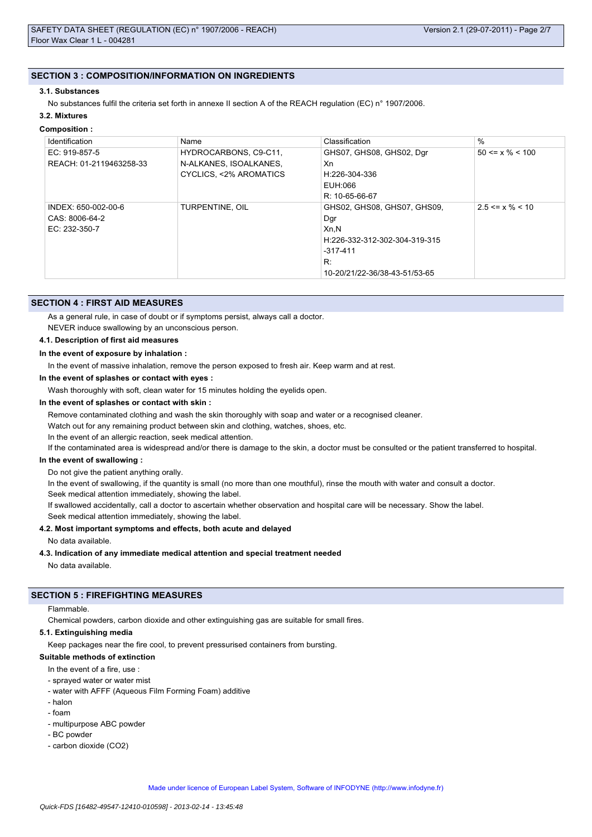## **SECTION 3 : COMPOSITION/INFORMATION ON INGREDIENTS**

#### **3.1. Substances**

No substances fulfil the criteria set forth in annexe II section A of the REACH regulation (EC) n° 1907/2006.

# **3.2. Mixtures**

# **Composition :**

| Identification          | Name                             | Classification                | $\%$                  |
|-------------------------|----------------------------------|-------------------------------|-----------------------|
| EC: 919-857-5           | HYDROCARBONS, C9-C11,            | GHS07, GHS08, GHS02, Dgr      | $50 \le x \% \le 100$ |
| REACH: 01-2119463258-33 | N-ALKANES, ISOALKANES,           | Xn                            |                       |
|                         | <b>CYCLICS, &lt;2% AROMATICS</b> | H:226-304-336                 |                       |
|                         |                                  | EUH:066                       |                       |
|                         |                                  | $R: 10 - 65 - 66 - 67$        |                       |
| INDEX: 650-002-00-6     | TURPENTINE, OIL                  | GHS02, GHS08, GHS07, GHS09,   | $2.5 \le x \% \le 10$ |
| CAS: 8006-64-2          |                                  | Dgr                           |                       |
| EC: 232-350-7           |                                  | Xn,N                          |                       |
|                         |                                  | H:226-332-312-302-304-319-315 |                       |
|                         |                                  | $-317-411$                    |                       |
|                         |                                  | R:                            |                       |
|                         |                                  | 10-20/21/22-36/38-43-51/53-65 |                       |

## **SECTION 4 : FIRST AID MEASURES**

As a general rule, in case of doubt or if symptoms persist, always call a doctor.

NEVER induce swallowing by an unconscious person.

#### **4.1. Description of first aid measures**

## **In the event of exposure by inhalation :**

In the event of massive inhalation, remove the person exposed to fresh air. Keep warm and at rest.

**In the event of splashes or contact with eyes :**

Wash thoroughly with soft, clean water for 15 minutes holding the eyelids open.

## **In the event of splashes or contact with skin :**

Remove contaminated clothing and wash the skin thoroughly with soap and water or a recognised cleaner.

Watch out for any remaining product between skin and clothing, watches, shoes, etc.

In the event of an allergic reaction, seek medical attention.

If the contaminated area is widespread and/or there is damage to the skin, a doctor must be consulted or the patient transferred to hospital.

### **In the event of swallowing :**

Do not give the patient anything orally.

In the event of swallowing, if the quantity is small (no more than one mouthful), rinse the mouth with water and consult a doctor. Seek medical attention immediately, showing the label.

If swallowed accidentally, call a doctor to ascertain whether observation and hospital care will be necessary. Show the label.

Seek medical attention immediately, showing the label.

# **4.2. Most important symptoms and effects, both acute and delayed**

No data available.

# **4.3. Indication of any immediate medical attention and special treatment needed**

No data available.

## **SECTION 5 : FIREFIGHTING MEASURES**

#### Flammable.

Chemical powders, carbon dioxide and other extinguishing gas are suitable for small fires.

#### **5.1. Extinguishing media**

Keep packages near the fire cool, to prevent pressurised containers from bursting.

#### **Suitable methods of extinction**

In the event of a fire, use

- sprayed water or water mist
- water with AFFF (Aqueous Film Forming Foam) additive
- halon
- foam
- multipurpose ABC powder
- BC powder
- carbon dioxide (CO2)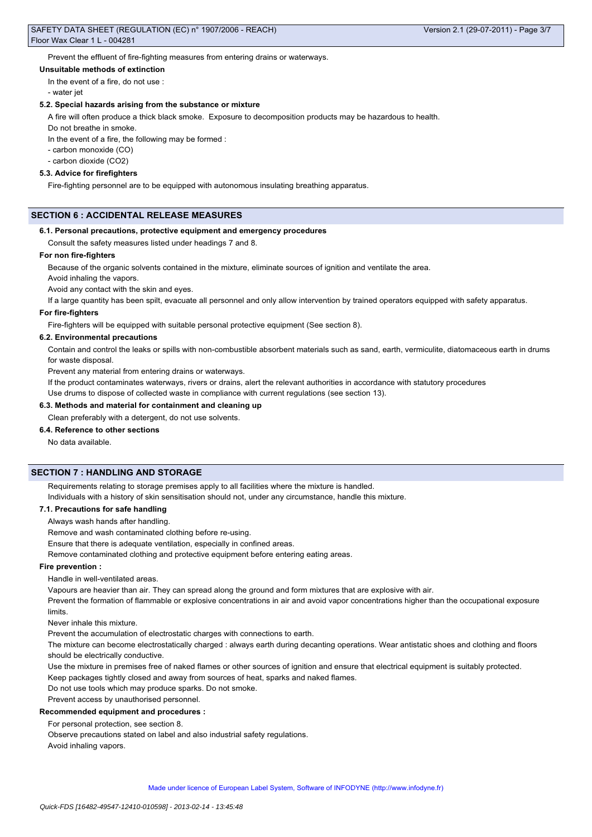Prevent the effluent of fire-fighting measures from entering drains or waterways.

#### **Unsuitable methods of extinction**

In the event of a fire, do not use :

- water jet

#### **5.2. Special hazards arising from the substance or mixture**

A fire will often produce a thick black smoke. Exposure to decomposition products may be hazardous to health.

Do not breathe in smoke.

In the event of a fire, the following may be formed :

- carbon monoxide (CO)

- carbon dioxide (CO2)

#### **5.3. Advice for firefighters**

Fire-fighting personnel are to be equipped with autonomous insulating breathing apparatus.

# **SECTION 6 : ACCIDENTAL RELEASE MEASURES**

#### **6.1. Personal precautions, protective equipment and emergency procedures**

Consult the safety measures listed under headings 7 and 8.

### **For non fire-fighters**

Because of the organic solvents contained in the mixture, eliminate sources of ignition and ventilate the area.

Avoid inhaling the vapors.

Avoid any contact with the skin and eyes.

If a large quantity has been spilt, evacuate all personnel and only allow intervention by trained operators equipped with safety apparatus.

#### **For fire-fighters**

Fire-fighters will be equipped with suitable personal protective equipment (See section 8).

#### **6.2. Environmental precautions**

Contain and control the leaks or spills with non-combustible absorbent materials such as sand, earth, vermiculite, diatomaceous earth in drums for waste disposal.

Prevent any material from entering drains or waterways.

If the product contaminates waterways, rivers or drains, alert the relevant authorities in accordance with statutory procedures

Use drums to dispose of collected waste in compliance with current regulations (see section 13).

# **6.3. Methods and material for containment and cleaning up**

Clean preferably with a detergent, do not use solvents.

## **6.4. Reference to other sections**

No data available.

# **SECTION 7 : HANDLING AND STORAGE**

Requirements relating to storage premises apply to all facilities where the mixture is handled.

Individuals with a history of skin sensitisation should not, under any circumstance, handle this mixture.

#### **7.1. Precautions for safe handling**

Always wash hands after handling.

Remove and wash contaminated clothing before re-using.

Ensure that there is adequate ventilation, especially in confined areas.

Remove contaminated clothing and protective equipment before entering eating areas.

## **Fire prevention :**

Handle in well-ventilated areas.

Vapours are heavier than air. They can spread along the ground and form mixtures that are explosive with air.

Prevent the formation of flammable or explosive concentrations in air and avoid vapor concentrations higher than the occupational exposure limits.

Never inhale this mixture.

Prevent the accumulation of electrostatic charges with connections to earth.

The mixture can become electrostatically charged : always earth during decanting operations. Wear antistatic shoes and clothing and floors should be electrically conductive.

Use the mixture in premises free of naked flames or other sources of ignition and ensure that electrical equipment is suitably protected.

Keep packages tightly closed and away from sources of heat, sparks and naked flames.

Do not use tools which may produce sparks. Do not smoke.

# Prevent access by unauthorised personnel.

**Recommended equipment and procedures :**

For personal protection, see section 8.

Observe precautions stated on label and also industrial safety regulations. Avoid inhaling vapors.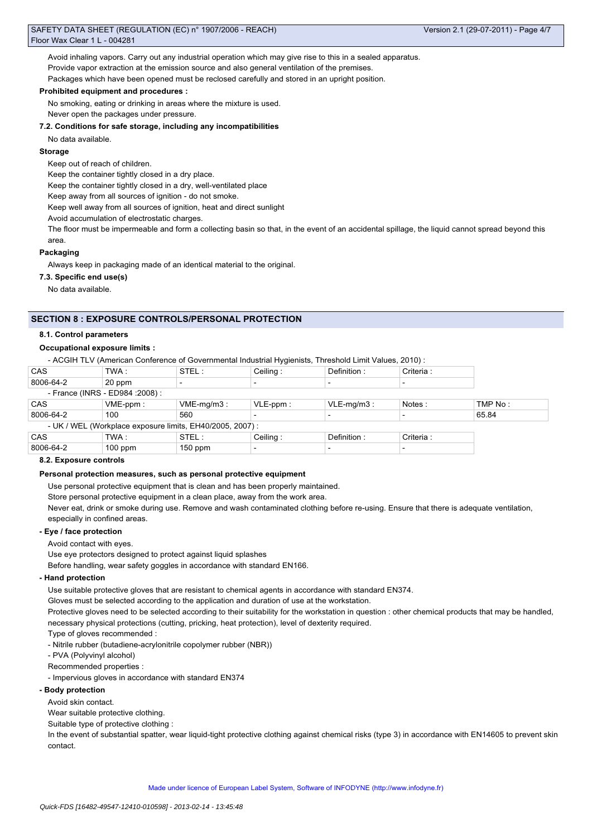Avoid inhaling vapors. Carry out any industrial operation which may give rise to this in a sealed apparatus. Provide vapor extraction at the emission source and also general ventilation of the premises. Packages which have been opened must be reclosed carefully and stored in an upright position.

#### **Prohibited equipment and procedures :**

No smoking, eating or drinking in areas where the mixture is used. Never open the packages under pressure.

**7.2. Conditions for safe storage, including any incompatibilities**

No data available.

## **Storage**

Keep out of reach of children.

Keep the container tightly closed in a dry place.

Keep the container tightly closed in a dry, well-ventilated place

Keep away from all sources of ignition - do not smoke.

Keep well away from all sources of ignition, heat and direct sunlight

Avoid accumulation of electrostatic charges.

The floor must be impermeable and form a collecting basin so that, in the event of an accidental spillage, the liquid cannot spread beyond this area.

## **Packaging**

Always keep in packaging made of an identical material to the original.

**7.3. Specific end use(s)**

No data available.

# **SECTION 8 : EXPOSURE CONTROLS/PERSONAL PROTECTION**

## **8.1. Control parameters**

# **Occupational exposure limits :**

- ACGIH TLV (American Conference of Governmental Industrial Hygienists, Threshold Limit Values, 2010) :

| <b>CAS</b> | TWA :                            | STEL:                                                     | Ceiling:    | Definition:   | Criteria : |         |
|------------|----------------------------------|-----------------------------------------------------------|-------------|---------------|------------|---------|
| 8006-64-2  | 20 ppm                           |                                                           |             |               |            |         |
|            | - France (INRS - ED984 : 2008) : |                                                           |             |               |            |         |
| <b>CAS</b> | $VME-ppm$ :                      | $VME-mq/m3$ :                                             | $VLE-ppm$ : | $VLE-mq/m3$ : | Notes:     | TMP No: |
| 8006-64-2  | 100                              | 560                                                       |             |               |            | 65.84   |
|            |                                  | - UK / WEL (Workplace exposure limits, EH40/2005, 2007) : |             |               |            |         |
| <b>CAS</b> | TWA:                             | STEL:                                                     | Ceiling:    | Definition:   | Criteria : |         |
| 8006-64-2  | $100$ ppm                        | $150$ ppm                                                 | $\,$        |               |            |         |

### **8.2. Exposure controls**

## **Personal protection measures, such as personal protective equipment**

Use personal protective equipment that is clean and has been properly maintained.

Store personal protective equipment in a clean place, away from the work area.

Never eat, drink or smoke during use. Remove and wash contaminated clothing before re-using. Ensure that there is adequate ventilation, especially in confined areas.

# **- Eye / face protection**

Avoid contact with eyes.

Use eye protectors designed to protect against liquid splashes

Before handling, wear safety goggles in accordance with standard EN166.

# **- Hand protection**

Use suitable protective gloves that are resistant to chemical agents in accordance with standard EN374.

Gloves must be selected according to the application and duration of use at the workstation.

Protective gloves need to be selected according to their suitability for the workstation in question : other chemical products that may be handled, necessary physical protections (cutting, pricking, heat protection), level of dexterity required.

Type of gloves recommended :

- Nitrile rubber (butadiene-acrylonitrile copolymer rubber (NBR))

- PVA (Polyvinyl alcohol)

Recommended properties :

- Impervious gloves in accordance with standard EN374

# **- Body protection**

Avoid skin contact.

Wear suitable protective clothing.

Suitable type of protective clothing :

In the event of substantial spatter, wear liquid-tight protective clothing against chemical risks (type 3) in accordance with EN14605 to prevent skin contact.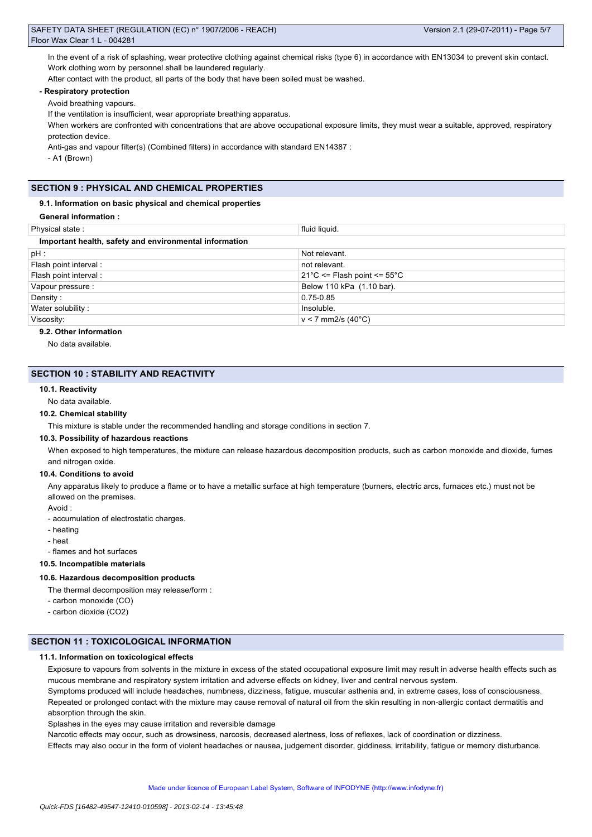In the event of a risk of splashing, wear protective clothing against chemical risks (type 6) in accordance with EN13034 to prevent skin contact. Work clothing worn by personnel shall be laundered regularly.

After contact with the product, all parts of the body that have been soiled must be washed.

# **- Respiratory protection**

Avoid breathing vapours.

If the ventilation is insufficient, wear appropriate breathing apparatus.

When workers are confronted with concentrations that are above occupational exposure limits, they must wear a suitable, approved, respiratory protection device.

Anti-gas and vapour filter(s) (Combined filters) in accordance with standard EN14387 :

- A1 (Brown)

# **SECTION 9 : PHYSICAL AND CHEMICAL PROPERTIES**

#### **9.1. Information on basic physical and chemical properties**

| Physical state:                                        | fluid liguid.                                   |  |  |  |  |
|--------------------------------------------------------|-------------------------------------------------|--|--|--|--|
| Important health, safety and environmental information |                                                 |  |  |  |  |
| $pH$ :                                                 | Not relevant.                                   |  |  |  |  |
| Flash point interval:                                  | not relevant.                                   |  |  |  |  |
| Flash point interval :                                 | $21^{\circ}$ C <= Flash point <= $55^{\circ}$ C |  |  |  |  |
| Vapour pressure :                                      | Below 110 kPa (1.10 bar).                       |  |  |  |  |
| Density:                                               | $0.75 - 0.85$                                   |  |  |  |  |
| Water solubility:                                      | Insoluble.                                      |  |  |  |  |
| Viscosity:                                             | $v < 7$ mm2/s (40°C)                            |  |  |  |  |
|                                                        |                                                 |  |  |  |  |

# **9.2. Other information**

No data available.

## **SECTION 10 : STABILITY AND REACTIVITY**

## **10.1. Reactivity**

No data available.

#### **10.2. Chemical stability**

This mixture is stable under the recommended handling and storage conditions in section 7.

#### **10.3. Possibility of hazardous reactions**

When exposed to high temperatures, the mixture can release hazardous decomposition products, such as carbon monoxide and dioxide, fumes and nitrogen oxide.

#### **10.4. Conditions to avoid**

Any apparatus likely to produce a flame or to have a metallic surface at high temperature (burners, electric arcs, furnaces etc.) must not be allowed on the premises.

Avoid :

- accumulation of electrostatic charges.

- heating
- heat
- flames and hot surfaces

**10.5. Incompatible materials**

#### **10.6. Hazardous decomposition products**

- The thermal decomposition may release/form :
- carbon monoxide (CO)
- carbon dioxide (CO2)

## **SECTION 11 : TOXICOLOGICAL INFORMATION**

#### **11.1. Information on toxicological effects**

Exposure to vapours from solvents in the mixture in excess of the stated occupational exposure limit may result in adverse health effects such as mucous membrane and respiratory system irritation and adverse effects on kidney, liver and central nervous system.

Symptoms produced will include headaches, numbness, dizziness, fatigue, muscular asthenia and, in extreme cases, loss of consciousness. Repeated or prolonged contact with the mixture may cause removal of natural oil from the skin resulting in non-allergic contact dermatitis and

absorption through the skin.

Splashes in the eyes may cause irritation and reversible damage

Narcotic effects may occur, such as drowsiness, narcosis, decreased alertness, loss of reflexes, lack of coordination or dizziness.

Effects may also occur in the form of violent headaches or nausea, judgement disorder, giddiness, irritability, fatigue or memory disturbance.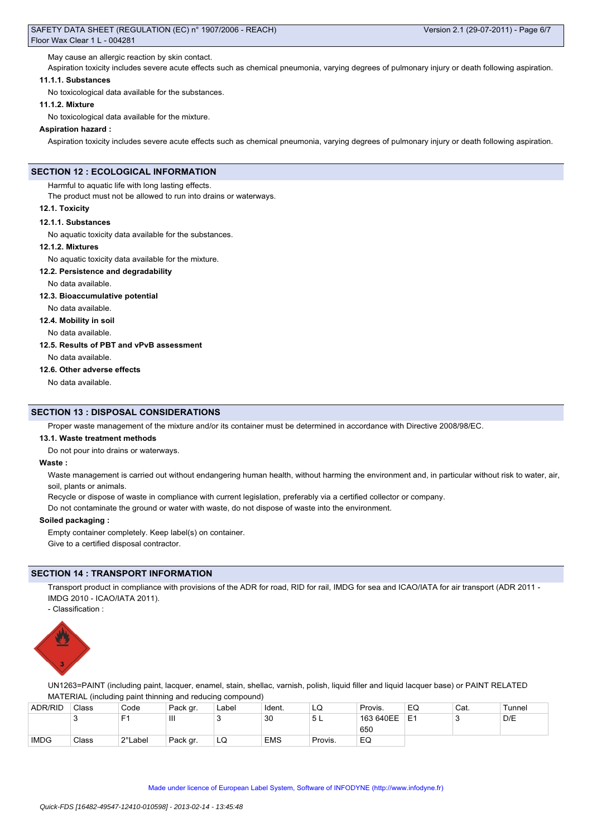May cause an allergic reaction by skin contact.

Aspiration toxicity includes severe acute effects such as chemical pneumonia, varying degrees of pulmonary injury or death following aspiration.

# **11.1.1. Substances**

No toxicological data available for the substances.

#### **11.1.2. Mixture**

No toxicological data available for the mixture.

#### **Aspiration hazard :**

Aspiration toxicity includes severe acute effects such as chemical pneumonia, varying degrees of pulmonary injury or death following aspiration.

## **SECTION 12 : ECOLOGICAL INFORMATION**

Harmful to aquatic life with long lasting effects.

The product must not be allowed to run into drains or waterways.

#### **12.1. Toxicity**

#### **12.1.1. Substances**

No aquatic toxicity data available for the substances.

#### **12.1.2. Mixtures**

No aquatic toxicity data available for the mixture.

#### **12.2. Persistence and degradability**

No data available.

**12.3. Bioaccumulative potential**

# No data available.

**12.4. Mobility in soil**

No data available.

#### **12.5. Results of PBT and vPvB assessment**

No data available.

#### **12.6. Other adverse effects**

No data available.

#### **SECTION 13 : DISPOSAL CONSIDERATIONS**

Proper waste management of the mixture and/or its container must be determined in accordance with Directive 2008/98/EC.

#### **13.1. Waste treatment methods**

Do not pour into drains or waterways.

#### **Waste :**

Waste management is carried out without endangering human health, without harming the environment and, in particular without risk to water, air, soil, plants or animals.

Recycle or dispose of waste in compliance with current legislation, preferably via a certified collector or company.

Do not contaminate the ground or water with waste, do not dispose of waste into the environment.

#### **Soiled packaging :**

Empty container completely. Keep label(s) on container.

Give to a certified disposal contractor.

#### **SECTION 14 : TRANSPORT INFORMATION**

Transport product in compliance with provisions of the ADR for road, RID for rail, IMDG for sea and ICAO/IATA for air transport (ADR 2011 -IMDG 2010 - ICAO/IATA 2011).

- Classification :



UN1263=PAINT (including paint, lacquer, enamel, stain, shellac, varnish, polish, liquid filler and liquid lacquer base) or PAINT RELATED MATERIAL (including paint thinning and reducing compound)

| <b>ADR/RID</b> | Class | Code    | Pack gr.       | Label | Ident.     | LQ      | Provis.   | EQ | Cat. | Tunnel |
|----------------|-------|---------|----------------|-------|------------|---------|-----------|----|------|--------|
|                | ັ     | Е٠      | $\mathbf{III}$ |       | 30         | 5 L     | 163 640EE | E  |      | D/E    |
|                |       |         |                |       |            |         | 650       |    |      |        |
| <b>IMDG</b>    | Class | 2°Label | Pack gr.       | LQ    | <b>EMS</b> | Provis. | EQ        |    |      |        |